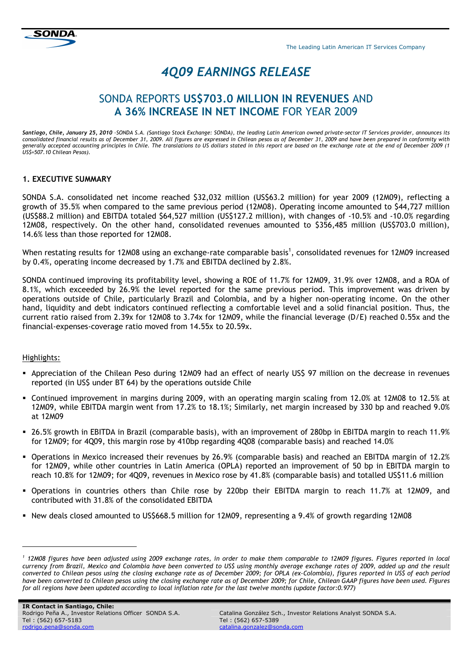



# 4Q09 EARNINGS RELEASE

# SONDA REPORTS US\$703.0 MILLION IN REVENUES AND A 36% INCREASE IN NET INCOME FOR YEAR 2009

Santiago, Chile, January 25, 2010 –SONDA S.A. (Santiago Stock Exchange: SONDA), the leading Latin American owned private-sector IT Services provider, announces its consolidated financial results as of December 31, 2009. All figures are expressed in Chilean pesos as of December 31, 2009 and have been prepared in conformity with generally accepted accounting principles in Chile. The translations to US dollars stated in this report are based on the exchange rate at the end of December 2009 (1 US\$=507.10 Chilean Pesos).

# 1. EXECUTIVE SUMMARY

SONDA S.A. consolidated net income reached \$32,032 million (US\$63.2 million) for year 2009 (12M09), reflecting a growth of 35.5% when compared to the same previous period (12M08). Operating income amounted to \$44,727 million (US\$88.2 million) and EBITDA totaled \$64,527 million (US\$127.2 million), with changes of -10.5% and -10.0% regarding 12M08, respectively. On the other hand, consolidated revenues amounted to \$356,485 million (US\$703.0 million), 14.6% less than those reported for 12M08.

When restating results for 12M08 using an exchange-rate comparable basis<sup>1</sup>, consolidated revenues for 12M09 increased by 0.4%, operating income decreased by 1.7% and EBITDA declined by 2.8%.

SONDA continued improving its profitability level, showing a ROE of 11.7% for 12M09, 31.9% over 12M08, and a ROA of 8.1%, which exceeded by 26.9% the level reported for the same previous period. This improvement was driven by operations outside of Chile, particularly Brazil and Colombia, and by a higher non-operating income. On the other hand, liquidity and debt indicators continued reflecting a comfortable level and a solid financial position. Thus, the current ratio raised from 2.39x for 12M08 to 3.74x for 12M09, while the financial leverage (D/E) reached 0.55x and the financial-expenses-coverage ratio moved from 14.55x to 20.59x.

# Highlights:

-

- Appreciation of the Chilean Peso during 12M09 had an effect of nearly US\$ 97 million on the decrease in revenues reported (in US\$ under BT 64) by the operations outside Chile
- Continued improvement in margins during 2009, with an operating margin scaling from 12.0% at 12M08 to 12.5% at 12M09, while EBITDA margin went from 17.2% to 18.1%; Similarly, net margin increased by 330 bp and reached 9.0% at 12M09
- 26.5% growth in EBITDA in Brazil (comparable basis), with an improvement of 280bp in EBITDA margin to reach 11.9% for 12M09; for 4Q09, this margin rose by 410bp regarding 4Q08 (comparable basis) and reached 14.0%
- Operations in Mexico increased their revenues by 26.9% (comparable basis) and reached an EBITDA margin of 12.2% for 12M09, while other countries in Latin America (OPLA) reported an improvement of 50 bp in EBITDA margin to reach 10.8% for 12M09; for 4Q09, revenues in Mexico rose by 41.8% (comparable basis) and totalled US\$11.6 million
- Operations in countries others than Chile rose by 220bp their EBITDA margin to reach 11.7% at 12M09, and contributed with 31.8% of the consolidated EBITDA
- New deals closed amounted to US\$668.5 million for 12M09, representing a 9.4% of growth regarding 12M08

<sup>1</sup> 12M08 figures have been adjusted using 2009 exchange rates, in order to make them comparable to 12M09 figures. Figures reported in local currency from Brazil, Mexico and Colombia have been converted to US\$ using monthly average exchange rates of 2009, added up and the result converted to Chilean pesos using the closing exchange rate as of December 2009; for OPLA (ex-Colombia), figures reported in US\$ of each period have been converted to Chilean pesos using the closing exchange rate as of December 2009; for Chile, Chilean GAAP figures have been used. Figures for all regions have been updated according to local inflation rate for the last twelve months (update factor:0.977)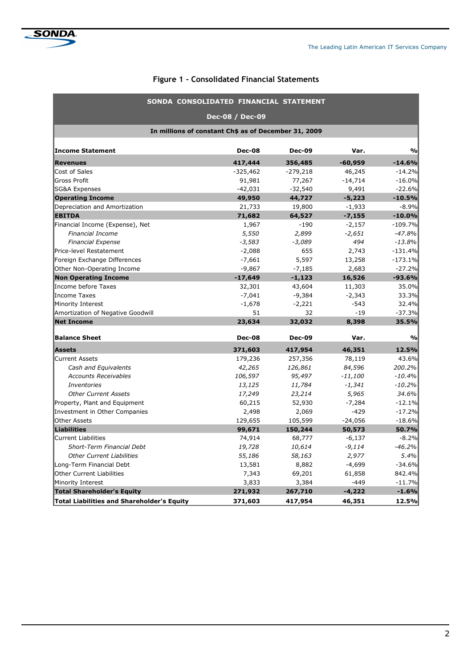# Figure 1 - Consolidated Financial Statements

|                                                      | SONDA CONSOLIDATED FINANCIAL STATEMENT |               |           |               |  |  |  |  |  |
|------------------------------------------------------|----------------------------------------|---------------|-----------|---------------|--|--|--|--|--|
|                                                      | Dec-08 / Dec-09                        |               |           |               |  |  |  |  |  |
| In millions of constant Ch\$ as of December 31, 2009 |                                        |               |           |               |  |  |  |  |  |
| <b>Income Statement</b>                              | <b>Dec-08</b>                          | <b>Dec-09</b> | Var.      | $\frac{1}{2}$ |  |  |  |  |  |
| <b>Revenues</b>                                      | 417,444                                | 356,485       | $-60,959$ | $-14.6%$      |  |  |  |  |  |
| Cost of Sales                                        | $-325,462$                             | $-279,218$    | 46,245    | $-14.2%$      |  |  |  |  |  |
| <b>Gross Profit</b>                                  | 91,981                                 | 77,267        | $-14,714$ | $-16.0%$      |  |  |  |  |  |
| <b>SG&amp;A Expenses</b>                             | $-42,031$                              | $-32,540$     | 9,491     | $-22.6%$      |  |  |  |  |  |
| <b>Operating Income</b>                              | 49,950                                 | 44,727        | $-5,223$  | $-10.5%$      |  |  |  |  |  |
| Depreciation and Amortization                        | 21,733                                 | 19,800        | $-1,933$  | $-8.9%$       |  |  |  |  |  |
| <b>EBITDA</b>                                        | 71,682                                 | 64,527        | $-7,155$  | $-10.0%$      |  |  |  |  |  |
| Financial Income (Expense), Net                      | 1,967                                  | $-190$        | $-2,157$  | $-109.7%$     |  |  |  |  |  |
| <b>Financial Income</b>                              | 5,550                                  | 2,899         | $-2,651$  | $-47.8%$      |  |  |  |  |  |
| <b>Financial Expense</b>                             | $-3,583$                               | $-3,089$      | 494       | $-13.8%$      |  |  |  |  |  |
| Price-level Restatement                              | $-2,088$                               | 655           | 2,743     | $-131.4%$     |  |  |  |  |  |
| Foreign Exchange Differences                         | $-7,661$                               | 5,597         | 13,258    | $-173.1%$     |  |  |  |  |  |
| Other Non-Operating Income                           | $-9,867$                               | $-7,185$      | 2,683     | $-27.2%$      |  |  |  |  |  |
| <b>Non Operating Income</b>                          | $-17,649$                              | $-1,123$      | 16,526    | $-93.6%$      |  |  |  |  |  |
| Income before Taxes                                  | 32,301                                 | 43,604        | 11,303    | 35.0%         |  |  |  |  |  |
| Income Taxes                                         | $-7,041$                               | $-9,384$      | $-2,343$  | 33.3%         |  |  |  |  |  |
| Minority Interest                                    | $-1,678$                               | $-2,221$      | $-543$    | 32.4%         |  |  |  |  |  |
| Amortization of Negative Goodwill                    | 51                                     | 32            | $-19$     | $-37.3%$      |  |  |  |  |  |
| <b>Net Income</b>                                    | 23,634                                 | 32,032        | 8,398     | 35.5%         |  |  |  |  |  |
| <b>Balance Sheet</b>                                 | <b>Dec-08</b>                          | <b>Dec-09</b> | Var.      | $\frac{0}{0}$ |  |  |  |  |  |
| <b>Assets</b>                                        | 371,603                                | 417,954       | 46,351    | 12.5%         |  |  |  |  |  |
| <b>Current Assets</b>                                | 179,236                                | 257,356       | 78,119    | 43.6%         |  |  |  |  |  |
| Cash and Equivalents                                 | 42,265                                 | 126,861       | 84,596    | 200.2%        |  |  |  |  |  |
| <b>Accounts Receivables</b>                          | 106,597                                | 95,497        | $-11,100$ | $-10.4%$      |  |  |  |  |  |
| <b>Inventories</b>                                   | 13,125                                 | 11,784        | $-1,341$  | $-10.2%$      |  |  |  |  |  |
| <b>Other Current Assets</b>                          | 17,249                                 | 23,214        | 5,965     | 34.6%         |  |  |  |  |  |
| Property, Plant and Equipment                        | 60,215                                 | 52,930        | $-7,284$  | $-12.1%$      |  |  |  |  |  |
| Investment in Other Companies                        | 2,498                                  | 2,069         | $-429$    | $-17.2%$      |  |  |  |  |  |
| <b>Other Assets</b>                                  | 129,655                                | 105,599       | $-24,056$ | $-18.6%$      |  |  |  |  |  |
| <b>Liabilities</b>                                   | 99,671                                 | 150,244       | 50,573    | 50.7%         |  |  |  |  |  |
| <b>Current Liabilities</b>                           | 74,914                                 | 68,777        | $-6,137$  | $-8.2%$       |  |  |  |  |  |
| <b>Short-Term Financial Debt</b>                     | 19,728                                 | 10,614        | $-9,114$  | $-46.2%$      |  |  |  |  |  |
| <b>Other Current Liabilities</b>                     | 55,186                                 | 58,163        | 2,977     | 5.4%          |  |  |  |  |  |
| Long-Term Financial Debt                             | 13,581                                 | 8,882         | $-4,699$  | $-34.6%$      |  |  |  |  |  |
| <b>Other Current Liabilities</b>                     | 7,343                                  | 69,201        | 61,858    | 842.4%        |  |  |  |  |  |
| Minority Interest                                    | 3,833                                  | 3,384         | $-449$    | $-11.7%$      |  |  |  |  |  |
| <b>Total Shareholder's Equity</b>                    | 271,932                                | 267,710       | $-4,222$  | $-1.6%$       |  |  |  |  |  |
| Total Liabilities and Shareholder's Equity           | 371,603                                | 417,954       | 46,351    | 12.5%         |  |  |  |  |  |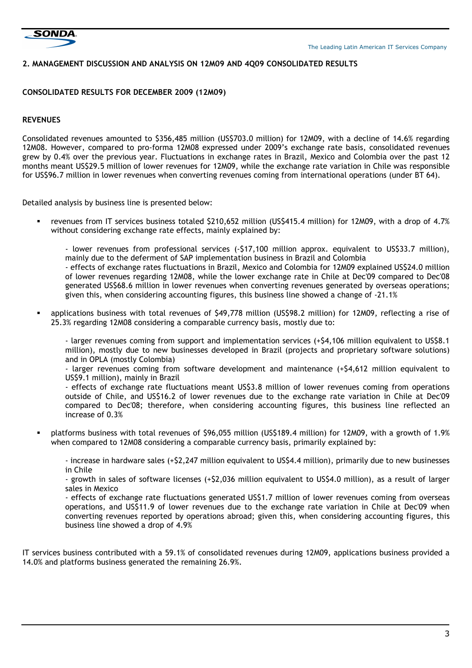

### 2. MANAGEMENT DISCUSSION AND ANALYSIS ON 12M09 AND 4Q09 CONSOLIDATED RESULTS

#### CONSOLIDATED RESULTS FOR DECEMBER 2009 (12M09)

# REVENUES

Consolidated revenues amounted to \$356,485 million (US\$703.0 million) for 12M09, with a decline of 14.6% regarding 12M08. However, compared to pro-forma 12M08 expressed under 2009's exchange rate basis, consolidated revenues grew by 0.4% over the previous year. Fluctuations in exchange rates in Brazil, Mexico and Colombia over the past 12 months meant US\$29.5 million of lower revenues for 12M09, while the exchange rate variation in Chile was responsible for US\$96.7 million in lower revenues when converting revenues coming from international operations (under BT 64).

Detailed analysis by business line is presented below:

- revenues from IT services business totaled \$210,652 million (US\$415.4 million) for 12M09, with a drop of 4.7% without considering exchange rate effects, mainly explained by:
	- lower revenues from professional services (-\$17,100 million approx. equivalent to US\$33.7 million), mainly due to the deferment of SAP implementation business in Brazil and Colombia
	- effects of exchange rates fluctuations in Brazil, Mexico and Colombia for 12M09 explained US\$24.0 million of lower revenues regarding 12M08, while the lower exchange rate in Chile at Dec'09 compared to Dec'08 generated US\$68.6 million in lower revenues when converting revenues generated by overseas operations; given this, when considering accounting figures, this business line showed a change of -21.1%
- applications business with total revenues of \$49,778 million (US\$98.2 million) for 12M09, reflecting a rise of 25.3% regarding 12M08 considering a comparable currency basis, mostly due to:

- larger revenues coming from support and implementation services (+\$4,106 million equivalent to US\$8.1 million), mostly due to new businesses developed in Brazil (projects and proprietary software solutions) and in OPLA (mostly Colombia)

- larger revenues coming from software development and maintenance (+\$4,612 million equivalent to US\$9.1 million), mainly in Brazil

- effects of exchange rate fluctuations meant US\$3.8 million of lower revenues coming from operations outside of Chile, and US\$16.2 of lower revenues due to the exchange rate variation in Chile at Dec'09 compared to Dec'08; therefore, when considering accounting figures, this business line reflected an increase of 0.3%

 platforms business with total revenues of \$96,055 million (US\$189.4 million) for 12M09, with a growth of 1.9% when compared to 12M08 considering a comparable currency basis, primarily explained by:

- increase in hardware sales (+\$2,247 million equivalent to US\$4.4 million), primarily due to new businesses in Chile

- growth in sales of software licenses (+\$2,036 million equivalent to US\$4.0 million), as a result of larger sales in Mexico

- effects of exchange rate fluctuations generated US\$1.7 million of lower revenues coming from overseas operations, and US\$11.9 of lower revenues due to the exchange rate variation in Chile at Dec'09 when converting revenues reported by operations abroad; given this, when considering accounting figures, this business line showed a drop of 4.9%

IT services business contributed with a 59.1% of consolidated revenues during 12M09, applications business provided a 14.0% and platforms business generated the remaining 26.9%.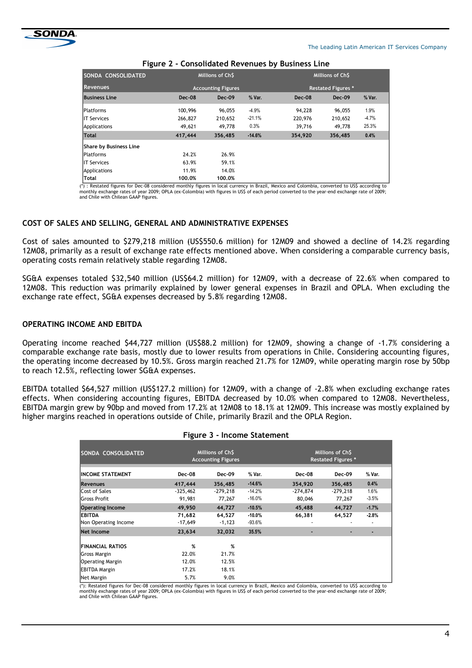

| SONDA CONSOLIDATED     | Millions of ChS           |          |          | Millions of ChS           |          |         |  |
|------------------------|---------------------------|----------|----------|---------------------------|----------|---------|--|
| <b>Revenues</b>        | <b>Accounting Figures</b> |          |          | <b>Restated Figures *</b> |          |         |  |
| <b>Business Line</b>   | $Dec-08$                  | $Dec-09$ | % Var.   | Dec-08                    | $Dec-09$ | % Var.  |  |
| <b>Platforms</b>       | 100,996                   | 96,055   | $-4.9%$  | 94,228                    | 96,055   | 1.9%    |  |
| <b>IT Services</b>     | 266,827                   | 210,652  | $-21.1%$ | 220,976                   | 210,652  | $-4.7%$ |  |
| Applications           | 49,621                    | 49,778   | 0.3%     | 39,716                    | 49,778   | 25.3%   |  |
| <b>Total</b>           | 417,444                   | 356,485  | $-14.6%$ | 354,920                   | 356,485  | 0.4%    |  |
| Share by Business Line |                           |          |          |                           |          |         |  |
| <b>Platforms</b>       | 24.2%                     | 26.9%    |          |                           |          |         |  |
| <b>IT Services</b>     | 63.9%                     | 59.1%    |          |                           |          |         |  |
| Applications           | 11.9%                     | 14.0%    |          |                           |          |         |  |
| Total                  | 100.0%                    | 100.0%   |          |                           |          |         |  |

#### Figure 2 - Consolidated Revenues by Business Line

(\*) : Restated figures for Dec-08 considered monthly figures in local currency in Brazil, Mexico and Colombia, converted to US\$ according to monthly exchange rates of year 2009; OPLA (ex-Colombia) with figures in US\$ of each period converted to the year-end exchange rate of 2009; and Chile with Chilean GAAP figures.

# COST OF SALES AND SELLING, GENERAL AND ADMINISTRATIVE EXPENSES

Cost of sales amounted to \$279,218 million (US\$550.6 million) for 12M09 and showed a decline of 14.2% regarding 12M08, primarily as a result of exchange rate effects mentioned above. When considering a comparable currency basis, operating costs remain relatively stable regarding 12M08.

SG&A expenses totaled \$32,540 million (US\$64.2 million) for 12M09, with a decrease of 22.6% when compared to 12M08. This reduction was primarily explained by lower general expenses in Brazil and OPLA. When excluding the exchange rate effect, SG&A expenses decreased by 5.8% regarding 12M08.

#### OPERATING INCOME AND EBITDA

Operating income reached \$44,727 million (US\$88.2 million) for 12M09, showing a change of -1.7% considering a comparable exchange rate basis, mostly due to lower results from operations in Chile. Considering accounting figures, the operating income decreased by 10.5%. Gross margin reached 21.7% for 12M09, while operating margin rose by 50bp to reach 12.5%, reflecting lower SG&A expenses.

EBITDA totalled \$64,527 million (US\$127.2 million) for 12M09, with a change of -2.8% when excluding exchange rates effects. When considering accounting figures, EBITDA decreased by 10.0% when compared to 12M08. Nevertheless, EBITDA margin grew by 90bp and moved from 17.2% at 12M08 to 18.1% at 12M09. This increase was mostly explained by higher margins reached in operations outside of Chile, primarily Brazil and the OPLA Region.

| ັ          |                  |                                                                   |                                               |                  |                          |  |
|------------|------------------|-------------------------------------------------------------------|-----------------------------------------------|------------------|--------------------------|--|
|            |                  |                                                                   | Millions of Ch\$<br><b>Restated Figures *</b> |                  |                          |  |
| Dec-08     | Dec-09           | % Var.                                                            | Dec-08                                        | Dec-09           | % Var.                   |  |
| 417,444    | 356,485          | $-14.6%$                                                          | 354,920                                       | 356,485          | 0.4%                     |  |
| $-325,462$ | $-279.218$       | $-14.2%$                                                          | $-274,874$                                    | $-279,218$       | 1.6%                     |  |
|            |                  |                                                                   |                                               |                  | $-3.5%$                  |  |
|            |                  |                                                                   |                                               |                  | $-1.7%$                  |  |
| 71,682     | 64,527           | $-10.0%$                                                          | 66,381                                        | 64,527           | $-2.8%$                  |  |
| $-17,649$  | $-1,123$         | $-93.6%$                                                          |                                               |                  | $\overline{\phantom{a}}$ |  |
| 23,634     | 32,032           | 35.5%                                                             |                                               |                  | ٠                        |  |
| %          | %                |                                                                   |                                               |                  |                          |  |
| 22.0%      | 21.7%            |                                                                   |                                               |                  |                          |  |
| 12.0%      | 12.5%            |                                                                   |                                               |                  |                          |  |
| 17.2%      | 18.1%            |                                                                   |                                               |                  |                          |  |
| 5.7%       | 9.0%             |                                                                   |                                               |                  |                          |  |
|            | 91,981<br>49,950 | Millions of Ch\$<br><b>Accounting Figures</b><br>77,267<br>44,727 | $-16.0%$<br>$-10.5%$                          | 80,046<br>45,488 | 77,267<br>44,727         |  |

#### Figure 3 - Income Statement

(\*): Restated figures for Dec-08 considered monthly figures in local currency in Brazil, Mexico and Colombia, converted to US\$ according to monthly exchange rates of year 2009; OPLA (ex-Colombia) with figures in US\$ of each period converted to the year-end exchange rate of 2009; and Chile with Chilean GAAP figures.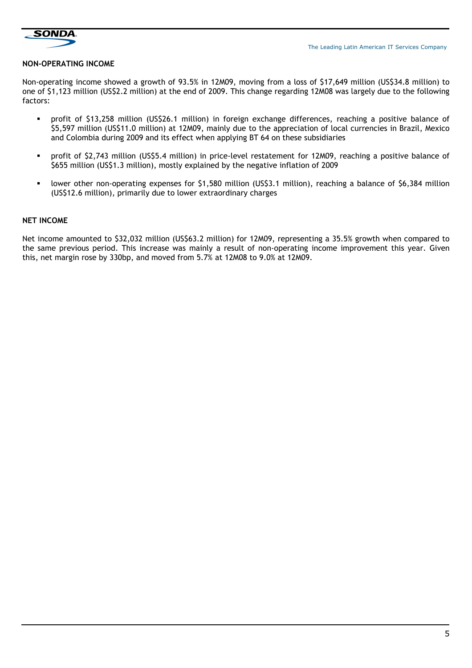

### NON-OPERATING INCOME

Non-operating income showed a growth of 93.5% in 12M09, moving from a loss of \$17,649 million (US\$34.8 million) to one of \$1,123 million (US\$2.2 million) at the end of 2009. This change regarding 12M08 was largely due to the following factors:

- profit of \$13,258 million (US\$26.1 million) in foreign exchange differences, reaching a positive balance of \$5,597 million (US\$11.0 million) at 12M09, mainly due to the appreciation of local currencies in Brazil, Mexico and Colombia during 2009 and its effect when applying BT 64 on these subsidiaries
- profit of \$2,743 million (US\$5.4 million) in price-level restatement for 12M09, reaching a positive balance of \$655 million (US\$1.3 million), mostly explained by the negative inflation of 2009
- lower other non-operating expenses for \$1,580 million (US\$3.1 million), reaching a balance of \$6,384 million (US\$12.6 million), primarily due to lower extraordinary charges

#### NET INCOME

Net income amounted to \$32,032 million (US\$63.2 million) for 12M09, representing a 35.5% growth when compared to the same previous period. This increase was mainly a result of non-operating income improvement this year. Given this, net margin rose by 330bp, and moved from 5.7% at 12M08 to 9.0% at 12M09.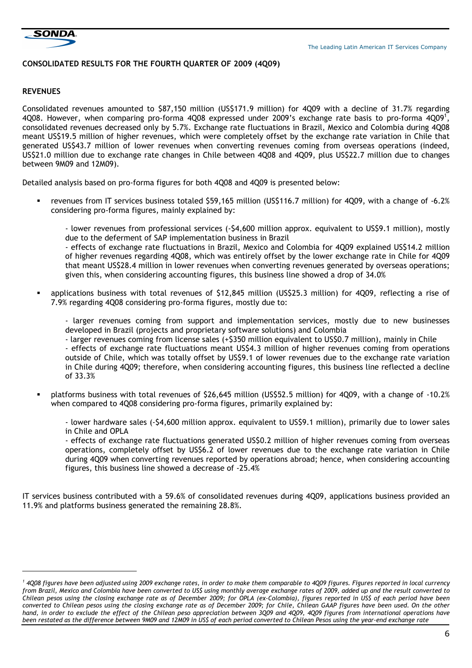

# CONSOLIDATED RESULTS FOR THE FOURTH QUARTER OF 2009 (4Q09)

#### **REVENUES**

i,

Consolidated revenues amounted to \$87,150 million (US\$171.9 million) for 4Q09 with a decline of 31.7% regarding 4Q08. However, when comparing pro-forma 4Q08 expressed under 2009's exchange rate basis to pro-forma 4Q09<sup>1</sup>, consolidated revenues decreased only by 5.7%. Exchange rate fluctuations in Brazil, Mexico and Colombia during 4Q08 meant US\$19.5 million of higher revenues, which were completely offset by the exchange rate variation in Chile that generated US\$43.7 million of lower revenues when converting revenues coming from overseas operations (indeed, US\$21.0 million due to exchange rate changes in Chile between 4Q08 and 4Q09, plus US\$22.7 million due to changes between 9M09 and 12M09).

Detailed analysis based on pro-forma figures for both 4Q08 and 4Q09 is presented below:

- revenues from IT services business totaled \$59,165 million (US\$116.7 million) for 4Q09, with a change of -6.2% considering pro-forma figures, mainly explained by:
	- lower revenues from professional services (-\$4,600 million approx. equivalent to US\$9.1 million), mostly due to the deferment of SAP implementation business in Brazil

- effects of exchange rate fluctuations in Brazil, Mexico and Colombia for 4Q09 explained US\$14.2 million of higher revenues regarding 4Q08, which was entirely offset by the lower exchange rate in Chile for 4Q09 that meant US\$28.4 million in lower revenues when converting revenues generated by overseas operations; given this, when considering accounting figures, this business line showed a drop of 34.0%

 applications business with total revenues of \$12,845 million (US\$25.3 million) for 4Q09, reflecting a rise of 7.9% regarding 4Q08 considering pro-forma figures, mostly due to:

- larger revenues coming from support and implementation services, mostly due to new businesses developed in Brazil (projects and proprietary software solutions) and Colombia

- larger revenues coming from license sales (+\$350 million equivalent to US\$0.7 million), mainly in Chile - effects of exchange rate fluctuations meant US\$4.3 million of higher revenues coming from operations outside of Chile, which was totally offset by US\$9.1 of lower revenues due to the exchange rate variation in Chile during 4Q09; therefore, when considering accounting figures, this business line reflected a decline of 33.3%

 platforms business with total revenues of \$26,645 million (US\$52.5 million) for 4Q09, with a change of -10.2% when compared to 4Q08 considering pro-forma figures, primarily explained by:

- lower hardware sales (-\$4,600 million approx. equivalent to US\$9.1 million), primarily due to lower sales in Chile and OPLA

- effects of exchange rate fluctuations generated US\$0.2 million of higher revenues coming from overseas operations, completely offset by US\$6.2 of lower revenues due to the exchange rate variation in Chile during 4Q09 when converting revenues reported by operations abroad; hence, when considering accounting figures, this business line showed a decrease of -25.4%

IT services business contributed with a 59.6% of consolidated revenues during 4Q09, applications business provided an 11.9% and platforms business generated the remaining 28.8%.

 $^{\rm 1}$  4Q08 figures have been adjusted using 2009 exchange rates, in order to make them comparable to 4Q09 figures. Figures reported in local currency from Brazil, Mexico and Colombia have been converted to US\$ using monthly average exchange rates of 2009, added up and the result converted to Chilean pesos using the closing exchange rate as of December 2009; for OPLA (ex-Colombia), figures reported in US\$ of each period have been converted to Chilean pesos using the closing exchange rate as of December 2009; for Chile, Chilean GAAP figures have been used. On the other hand, in order to exclude the effect of the Chilean peso appreciation between 3Q09 and 4Q09, 4Q09 figures from international operations have been restated as the difference between 9M09 and 12M09 in US\$ of each period converted to Chilean Pesos using the year-end exchange rate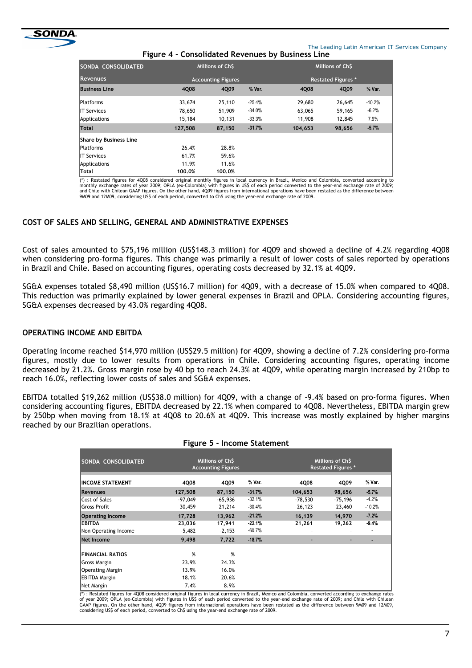

The Leading Latin American IT Services Company

| SONDA CONSOLIDATED     |         | Millions of Ch\$<br><b>Accounting Figures</b> |          |         | Millions of Ch\$          |          |  |
|------------------------|---------|-----------------------------------------------|----------|---------|---------------------------|----------|--|
| <b>Revenues</b>        |         |                                               |          |         | <b>Restated Figures *</b> |          |  |
| <b>Business Line</b>   | 4Q08    | 4Q09                                          | % Var.   | 4Q08    | 4Q09                      | % Var.   |  |
| <b>Platforms</b>       | 33,674  | 25,110                                        | $-25.4%$ | 29,680  | 26,645                    | $-10.2%$ |  |
| <b>IT Services</b>     | 78,650  | 51,909                                        | $-34.0%$ | 63,065  | 59,165                    | $-6.2%$  |  |
| <b>Applications</b>    | 15,184  | 10,131                                        | $-33.3%$ | 11,908  | 12,845                    | 7.9%     |  |
| Total                  | 127,508 | 87,150                                        | $-31.7%$ | 104,653 | 98,656                    | $-5.7%$  |  |
| Share by Business Line |         |                                               |          |         |                           |          |  |
| <b>Platforms</b>       | 26.4%   | 28.8%                                         |          |         |                           |          |  |
| <b>IT Services</b>     | 61.7%   | 59.6%                                         |          |         |                           |          |  |
| <b>Applications</b>    | 11.9%   | 11.6%                                         |          |         |                           |          |  |
| Total                  | 100.0%  | 100.0%                                        |          |         |                           |          |  |

vear 2009; OPLA (ex-Colombia) with figures in US\$ of each period converted to the year-end exchange rate of 2009; and Chile with Chilean GAAP figures. On the other hand, 4Q09 figures from international operations have been restated as the difference between<br>9M09 and 12M09, considering US\$ of each period, converted to Ch\$ using the yea

# COST OF SALES AND SELLING, GENERAL AND ADMINISTRATIVE EXPENSES

Cost of sales amounted to \$75,196 million (US\$148.3 million) for 4Q09 and showed a decline of 4.2% regarding 4Q08 when considering pro-forma figures. This change was primarily a result of lower costs of sales reported by operations in Brazil and Chile. Based on accounting figures, operating costs decreased by 32.1% at 4Q09.

SG&A expenses totaled \$8,490 million (US\$16.7 million) for 4Q09, with a decrease of 15.0% when compared to 4Q08. This reduction was primarily explained by lower general expenses in Brazil and OPLA. Considering accounting figures, SG&A expenses decreased by 43.0% regarding 4Q08.

#### OPERATING INCOME AND EBITDA

Operating income reached \$14,970 million (US\$29.5 million) for 4Q09, showing a decline of 7.2% considering pro-forma figures, mostly due to lower results from operations in Chile. Considering accounting figures, operating income decreased by 21.2%. Gross margin rose by 40 bp to reach 24.3% at 4Q09, while operating margin increased by 210bp to reach 16.0%, reflecting lower costs of sales and SG&A expenses.

EBITDA totalled \$19,262 million (US\$38.0 million) for 4Q09, with a change of -9.4% based on pro-forma figures. When considering accounting figures, EBITDA decreased by 22.1% when compared to 4Q08. Nevertheless, EBITDA margin grew by 250bp when moving from 18.1% at 4Q08 to 20.6% at 4Q09. This increase was mostly explained by higher margins reached by our Brazilian operations.

Figure 5 - Income Statement

| rigure 5 - income statement |                                               |           |          |                                               |           |          |  |  |  |  |
|-----------------------------|-----------------------------------------------|-----------|----------|-----------------------------------------------|-----------|----------|--|--|--|--|
| SONDA CONSOLIDATED          | Millions of Ch\$<br><b>Accounting Figures</b> |           |          | Millions of Ch\$<br><b>Restated Figures *</b> |           |          |  |  |  |  |
| <b>INCOME STATEMENT</b>     | 4Q08                                          | 4Q09      | % Var.   | 4Q08                                          | 4Q09      | % Var.   |  |  |  |  |
| <b>Revenues</b>             | 127,508                                       | 87,150    | $-31.7%$ | 104,653                                       | 98,656    | $-5.7%$  |  |  |  |  |
| Cost of Sales               | $-97,049$                                     | $-65,936$ | $-32.1%$ | -78,530                                       | $-75,196$ | $-4.2%$  |  |  |  |  |
| Gross Profit                | 30,459                                        | 21,214    | $-30.4%$ | 26,123                                        | 23,460    | $-10.2%$ |  |  |  |  |
| <b>Operating Income</b>     | 17,728                                        | 13,962    | $-21.2%$ | 16,139                                        | 14,970    | $-7.2%$  |  |  |  |  |
| EBITDA                      | 23,036                                        | 17,941    | -22.1%   | 21,261                                        | 19,262    | $-9.4%$  |  |  |  |  |
| Non Operating Income        | $-5,482$                                      | $-2,153$  | $-60.7%$ |                                               |           |          |  |  |  |  |
| <b>Net Income</b>           | 9.498                                         | 7,722     | $-18.7%$ | -                                             |           | ٠        |  |  |  |  |
| <b>FINANCIAL RATIOS</b>     | %                                             | %         |          |                                               |           |          |  |  |  |  |
| Gross Margin                | 23.9%                                         | 24.3%     |          |                                               |           |          |  |  |  |  |
| Operating Margin            | 13.9%                                         | 16.0%     |          |                                               |           |          |  |  |  |  |
| EBITDA Margin               | 18.1%                                         | 20.6%     |          |                                               |           |          |  |  |  |  |
| Net Margin                  | 7.4%                                          | 8.9%      |          |                                               |           |          |  |  |  |  |

(\*) : Restated figures for 4Q08 considered original figures in local currency in Brazil, Mexico and Colombia, converted according to exchange rates of year 2009; OPLA (ex-Colombia) with figures in US\$ of each period converted to the year-end exchange rate of 2009; and Chile with Chilean<br>GAAP figures. On the other hand, 4Q09 figures from international operations have b considering US\$ of each period, converted to Ch\$ using the year-end exchange rate of 2009.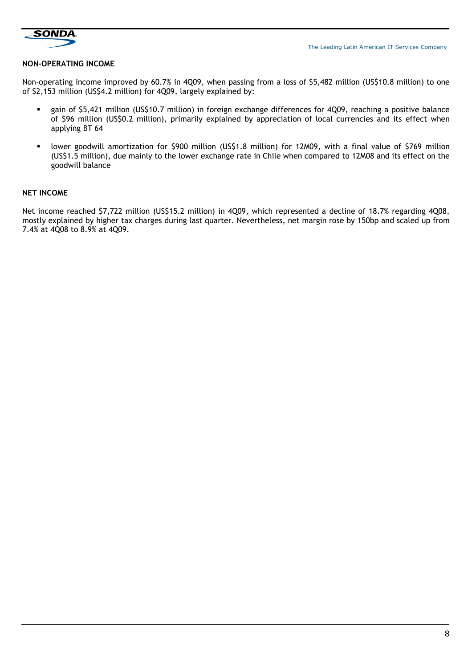

#### NON-OPERATING INCOME

Non-operating income improved by 60.7% in 4Q09, when passing from a loss of \$5,482 million (US\$10.8 million) to one of \$2,153 million (US\$4.2 million) for 4Q09, largely explained by:

- gain of \$5,421 million (US\$10.7 million) in foreign exchange differences for 4Q09, reaching a positive balance of \$96 million (US\$0.2 million), primarily explained by appreciation of local currencies and its effect when applying BT 64
- lower goodwill amortization for \$900 million (US\$1.8 million) for 12M09, with a final value of \$769 million (US\$1.5 million), due mainly to the lower exchange rate in Chile when compared to 12M08 and its effect on the goodwill balance

#### NET INCOME

Net income reached \$7,722 million (US\$15.2 million) in 4Q09, which represented a decline of 18.7% regarding 4Q08, mostly explained by higher tax charges during last quarter. Nevertheless, net margin rose by 150bp and scaled up from 7.4% at 4Q08 to 8.9% at 4Q09.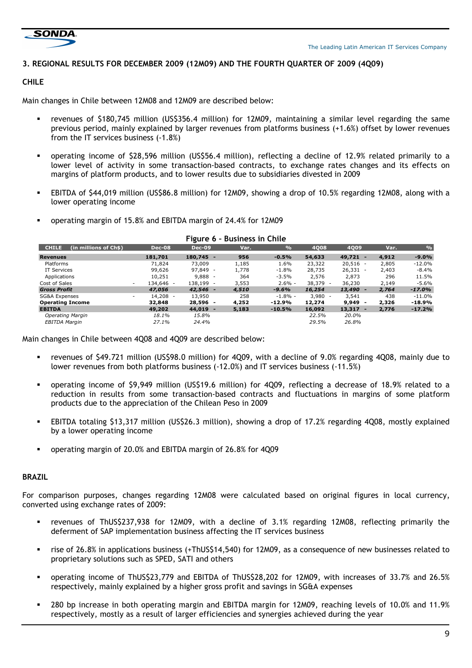

# 3. REGIONAL RESULTS FOR DECEMBER 2009 (12M09) AND THE FOURTH QUARTER OF 2009 (4Q09)

# CHILE

Main changes in Chile between 12M08 and 12M09 are described below:

- revenues of \$180,745 million (US\$356.4 million) for 12M09, maintaining a similar level regarding the same previous period, mainly explained by larger revenues from platforms business (+1.6%) offset by lower revenues from the IT services business (-1.8%)
- operating income of \$28,596 million (US\$56.4 million), reflecting a decline of 12.9% related primarily to a lower level of activity in some transaction-based contracts, to exchange rates changes and its effects on margins of platform products, and to lower results due to subsidiaries divested in 2009
- EBITDA of \$44,019 million (US\$86.8 million) for 12M09, showing a drop of 10.5% regarding 12M08, along with a lower operating income
- operating margin of 15.8% and EBITDA margin of 24.4% for 12M09

| $S$ ulc $V$<br><b>PUSILICSS III CHIIG</b> |               |               |       |               |                                    |            |       |               |
|-------------------------------------------|---------------|---------------|-------|---------------|------------------------------------|------------|-------|---------------|
| <b>CHILE</b><br>(in millions of Ch\$).    | <b>Dec-08</b> | <b>Dec-09</b> | Var.  | $\frac{9}{6}$ | 4008                               | 4009       | Var.  | $\frac{9}{6}$ |
| <b>Revenues</b>                           | 181,701       | $180.745 -$   | 956   | $-0.5%$       | 54,633                             | $49,721 -$ | 4,912 | $-9.0%$       |
| Platforms                                 | 71,824        | 73,009        | 1,185 | 1.6%          | 23,322                             | $20,516 -$ | 2,805 | $-12.0\%$     |
| IT Services                               | 99,626        | $97.849 -$    | 1,778 | $-1.8%$       | 28,735                             | $26,331 -$ | 2,403 | $-8.4\%$      |
| Applications                              | 10,251        | $9.888 -$     | 364   | $-3.5%$       | 2,576                              | 2,873      | 296   | 11.5%         |
| Cost of Sales<br>۰.                       | 134,646 -     | 138,199 -     | 3,553 | $2.6\%$ -     | 38,379<br>$\overline{\phantom{a}}$ | 36,230     | 2,149 | $-5.6%$       |
| <b>Gross Profit</b>                       | 47,056        | $42.546 -$    | 4,510 | $-9.6%$       | 16,254                             | $13,490 -$ | 2,764 | $-17.0%$      |
| SG&A Expenses<br>۰.                       | 14,208 -      | 13,950        | 258   | $-1.8\%$ -    | 3,980<br>$\overline{\phantom{a}}$  | 3,541      | 438   | -11.0%        |
| <b>Operating Income</b>                   | 32,848        | $28.596 -$    | 4,252 | $-12.9%$      | 12,274                             | 9,949      | 2,326 | -18.9%        |
| <b>EBITDA</b>                             | 49,202        | $44,019 -$    | 5,183 | $-10.5%$      | 16,092                             | 13,317     | 2,776 | $-17.2%$      |
| <b>Operating Margin</b>                   | 18.1%         | 15.8%         |       |               | 22.5%                              | 20.0%      |       |               |
| EBITDA Margin                             | 27.1%         | 24.4%         |       |               | 29.5%                              | 26.8%      |       |               |

#### Figure 6 – Business in Chile

Main changes in Chile between 4Q08 and 4Q09 are described below:

- revenues of \$49.721 million (US\$98.0 million) for 4Q09, with a decline of 9.0% regarding 4Q08, mainly due to lower revenues from both platforms business (-12.0%) and IT services business (-11.5%)
- operating income of \$9,949 million (US\$19.6 million) for 4Q09, reflecting a decrease of 18.9% related to a reduction in results from some transaction-based contracts and fluctuations in margins of some platform products due to the appreciation of the Chilean Peso in 2009
- EBITDA totaling \$13,317 million (US\$26.3 million), showing a drop of 17.2% regarding 4Q08, mostly explained by a lower operating income
- operating margin of 20.0% and EBITDA margin of 26.8% for 4Q09

# BRAZIL

For comparison purposes, changes regarding 12M08 were calculated based on original figures in local currency, converted using exchange rates of 2009:

- revenues of ThUS\$237,938 for 12M09, with a decline of 3.1% regarding 12M08, reflecting primarily the deferment of SAP implementation business affecting the IT services business
- rise of 26.8% in applications business (+ThUS\$14,540) for 12M09, as a consequence of new businesses related to proprietary solutions such as SPED, SATI and others
- operating income of ThUS\$23,779 and EBITDA of ThUS\$28,202 for 12M09, with increases of 33.7% and 26.5% respectively, mainly explained by a higher gross profit and savings in SG&A expenses
- 280 bp increase in both operating margin and EBITDA margin for 12M09, reaching levels of 10.0% and 11.9% respectively, mostly as a result of larger efficiencies and synergies achieved during the year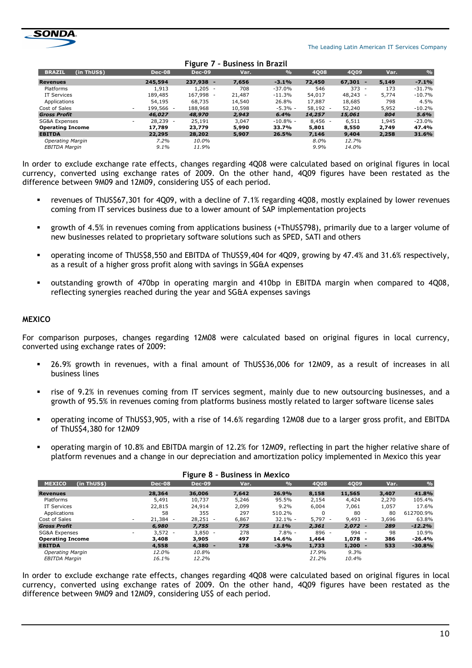

|                                                                                                                                    | $\frac{1}{2}$                                                                                                                                     | 4008                                             | 4009                     | Var.                            | $\frac{9}{6}$ |
|------------------------------------------------------------------------------------------------------------------------------------|---------------------------------------------------------------------------------------------------------------------------------------------------|--------------------------------------------------|--------------------------|---------------------------------|---------------|
| 7,656                                                                                                                              | $-3.1%$                                                                                                                                           | 72,450                                           | 67,301                   | 5,149                           | $-7.1%$       |
| 708                                                                                                                                | $-37.0\%$                                                                                                                                         | 546                                              | 373                      | 173<br>$\overline{\phantom{0}}$ | $-31.7%$      |
| 21,487                                                                                                                             | $-11.3%$                                                                                                                                          | 54,017                                           | 48,243                   | 5.774                           | $-10.7%$      |
|                                                                                                                                    | 26.8%                                                                                                                                             | 17,887                                           | 18,685                   | 798                             | 4.5%          |
|                                                                                                                                    |                                                                                                                                                   |                                                  | 52,240                   | 5,952                           | $-10.2%$      |
| 2,943                                                                                                                              | 6.4%                                                                                                                                              | 14,257                                           | 15,061                   | 804                             | 5.6%          |
| 3,047                                                                                                                              |                                                                                                                                                   |                                                  | 6,511                    | 1,945                           | $-23.0%$      |
| 5,990                                                                                                                              | 33.7%                                                                                                                                             | 5,801                                            | 8,550                    | 2,749                           | 47.4%         |
| 5,907                                                                                                                              | 26.5%                                                                                                                                             | 7,146                                            | 9,404                    | 2,258                           | 31.6%         |
|                                                                                                                                    |                                                                                                                                                   | $8.0\%$                                          |                          |                                 |               |
|                                                                                                                                    |                                                                                                                                                   | $9.9\%$                                          | 14.0%                    |                                 |               |
| <b>Dec-08</b><br>245,594<br>1,913<br>189,485<br>54,195<br>199,566 -<br>46,027<br>$28.239 -$<br>17.789<br>22,295<br>7.2%<br>$9.1\%$ | . <i>.</i><br><b>Dec-09</b><br>237,938 -<br>$1.205 -$<br>167,998 -<br>68,735<br>188,968<br>48,970<br>25,191<br>23,779<br>28,202<br>10.0%<br>11.9% | PUSITICSS III PIUZII<br>Var.<br>14,540<br>10,598 | $-5.3% -$<br>$-10.8\%$ - | $58,192 -$<br>$8,456 -$         | 12.7%         |

Figure 7 – Business in Brazil

In order to exclude exchange rate effects, changes regarding 4Q08 were calculated based on original figures in local currency, converted using exchange rates of 2009. On the other hand, 4Q09 figures have been restated as the difference between 9M09 and 12M09, considering US\$ of each period.

- revenues of ThUS\$67,301 for 4Q09, with a decline of 7.1% regarding 4Q08, mostly explained by lower revenues coming from IT services business due to a lower amount of SAP implementation projects
- growth of 4.5% in revenues coming from applications business (+ThUS\$798), primarily due to a larger volume of new businesses related to proprietary software solutions such as SPED, SATI and others
- operating income of ThUS\$8,550 and EBITDA of ThUS\$9,404 for 4Q09, growing by 47.4% and 31.6% respectively, as a result of a higher gross profit along with savings in SG&A expenses
- outstanding growth of 470bp in operating margin and 410bp in EBITDA margin when compared to 4Q08, reflecting synergies reached during the year and SG&A expenses savings

### **MEXICO**

For comparison purposes, changes regarding 12M08 were calculated based on original figures in local currency, converted using exchange rates of 2009:

- 26.9% growth in revenues, with a final amount of ThUS\$36,006 for 12M09, as a result of increases in all business lines
- rise of 9.2% in revenues coming from IT services segment, mainly due to new outsourcing businesses, and a growth of 95.5% in revenues coming from platforms business mostly related to larger software license sales
- operating income of ThUS\$3,905, with a rise of 14.6% regarding 12M08 due to a larger gross profit, and EBITDA of ThUS\$4,380 for 12M09
- operating margin of 10.8% and EBITDA margin of 12.2% for 12M09, reflecting in part the higher relative share of platform revenues and a change in our depreciation and amortization policy implemented in Mexico this year

|                              |                | -             |       |               |                 |                                   |       |               |
|------------------------------|----------------|---------------|-------|---------------|-----------------|-----------------------------------|-------|---------------|
| (in ThUS\$)<br><b>MEXICO</b> | <b>Dec-08</b>  | <b>Dec-09</b> | Var.  | $\frac{1}{2}$ | 4Q08            | 4Q09                              | Var.  | $\frac{0}{0}$ |
| <b>Revenues</b>              | 28,364         | 36,006        | 7,642 | 26.9%         | 8,158           | 11,565                            | 3,407 | 41.8%         |
| <b>Platforms</b>             | 5,491          | 10,737        | 5,246 | 95.5%         | 2,154           | 4,424                             | 2,270 | 105.4%        |
| IT Services                  | 22,815         | 24,914        | 2,099 | $9.2\%$       | 6,004           | 7,061                             | 1,057 | 17.6%         |
| Applications                 | 58             | 355           | 297   | 510.2%        | $\Omega$        | 80                                | 80    | 612700.9%     |
| Cost of Sales                | 21,384 -<br>۰  | $28,251 -$    | 6,867 | $32.1\% -$    | 5,797<br>$\sim$ | 9,493<br>$\overline{\phantom{a}}$ | 3,696 | 63.8%         |
| <b>Gross Profit</b>          | 6,980          | 7,755         | 775   | 11.1%         | 2,361           | $2,072 -$                         | 289   | $-12.2%$      |
| <b>SG&amp;A Expenses</b>     | $3,572 -$<br>۰ | $3,850 -$     | 278   | $7.8\%$ -     | 896 -           | 994 -                             | 98    | 10.9%         |
| <b>Operating Income</b>      | 3,408          | 3,905         | 497   | 14.6%         | 1,464           | 1,078<br>۰                        | 386   | $-26.4%$      |
| <b>EBITDA</b>                | 4,558          | $4,380 -$     | 178   | $-3.9%$       | 1,733           | 1,200                             | 533   | $-30.8%$      |
| <b>Operating Margin</b>      | 12.0%          | 10.8%         |       |               | 17.9%           | $9.3\%$                           |       |               |
| <b>EBITDA Margin</b>         | 16.1%          | 12.2%         |       |               | 21.2%           | 10.4%                             |       |               |

#### Figure 8 – Business in Mexico

In order to exclude exchange rate effects, changes regarding 4Q08 were calculated based on original figures in local currency, converted using exchange rates of 2009. On the other hand, 4Q09 figures have been restated as the difference between 9M09 and 12M09, considering US\$ of each period.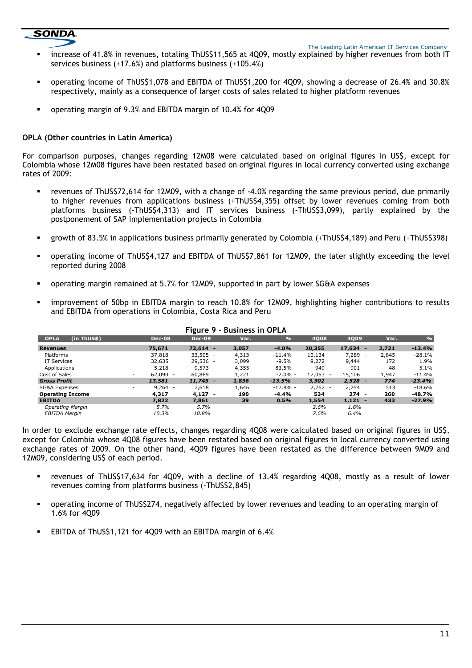# **SONDA**

The Leading Latin American IT Services Company

- increase of 41.8% in revenues, totaling ThUS\$11,565 at 4Q09, mostly explained by higher revenues from both IT services business (+17.6%) and platforms business (+105.4%)
- operating income of ThUS\$1,078 and EBITDA of ThUS\$1,200 for 4Q09, showing a decrease of 26.4% and 30.8% respectively, mainly as a consequence of larger costs of sales related to higher platform revenues
- operating margin of 9.3% and EBITDA margin of 10.4% for 4Q09

# OPLA (Other countries in Latin America)

For comparison purposes, changes regarding 12M08 were calculated based on original figures in US\$, except for Colombia whose 12M08 figures have been restated based on original figures in local currency converted using exchange rates of 2009:

- revenues of ThUS\$72,614 for 12M09, with a change of -4.0% regarding the same previous period, due primarily to higher revenues from applications business (+ThUS\$4,355) offset by lower revenues coming from both platforms business (-ThUS\$4,313) and IT services business (-ThUS\$3,099), partly explained by the postponement of SAP implementation projects in Colombia
- growth of 83.5% in applications business primarily generated by Colombia (+ThUS\$4,189) and Peru (+ThUS\$398)
- operating income of ThUS\$4,127 and EBITDA of ThUS\$7,861 for 12M09, the later slightly exceeding the level reported during 2008
- operating margin remained at 5.7% for 12M09, supported in part by lower SG&A expenses
- improvement of 50bp in EBITDA margin to reach 10.8% for 12M09, highlighting higher contributions to results and EBITDA from operations in Colombia, Costa Rica and Peru

| <b>OPLA</b><br>(in ThUS\$) | <b>Dec-08</b>                         | <b>Dec-09</b> | Var.  | $\frac{0}{2}$ | 4008       | <b>4009</b>                       | Var.  | $\frac{9}{6}$ |
|----------------------------|---------------------------------------|---------------|-------|---------------|------------|-----------------------------------|-------|---------------|
| <b>Revenues</b>            | 75,671                                | $72.614 -$    | 3,057 | $-4.0%$       | 20,355     | 17,634<br>-                       | 2.721 | $-13.4%$      |
| Platforms                  | 37,818                                | $33,505 -$    | 4,313 | $-11.4\%$     | 10,134     | 7,289                             | 2,845 | $-28.1%$      |
| IT Services                | 32,635                                | 29,536 -      | 3,099 | $-9.5\%$      | 9,272      | 9,444                             | 172   | 1.9%          |
| Applications               | 5,218                                 | 9,573         | 4,355 | 83.5%         | 949        | 901                               | 48    | $-5.1%$       |
| Cost of Sales              | $62.090 -$<br>$\sim$                  | 60,869        | 1,221 | $-2.0\% -$    | $17.053 -$ | 15,106                            | 1,947 | $-11.4%$      |
| <b>Gross Profit</b>        | 13,581                                | $11,745 -$    | 1,836 | $-13.5%$      | 3,302      | 2,528<br>$\overline{\phantom{0}}$ | 774   | $-23.4%$      |
| SG&A Expenses              | $9.264 -$<br>$\overline{\phantom{a}}$ | 7,618         | 1,646 | $-17.8\%$ -   | $2,767 -$  | 2,254                             | 513   | $-18.6%$      |
| <b>Operating Income</b>    | 4,317                                 | $4,127 -$     | 190   | -4.4%         | 534        | $274 -$                           | 260   | $-48.7%$      |
| <b>EBITDA</b>              | 7.822                                 | 7,861         | 39    | 0.5%          | 1,554      | $1,121 -$                         | 433   | $-27.9%$      |
| <b>Operating Margin</b>    | 5.7%                                  | 5.7%          |       |               | 2.6%       | 1.6%                              |       |               |
| EBITDA Margin              | 10.3%                                 | 10.8%         |       |               | 7.6%       | 6.4%                              |       |               |

#### Figure 9 – Business in OPLA

In order to exclude exchange rate effects, changes regarding 4Q08 were calculated based on original figures in US\$, except for Colombia whose 4Q08 figures have been restated based on original figures in local currency converted using exchange rates of 2009. On the other hand, 4Q09 figures have been restated as the difference between 9M09 and 12M09, considering US\$ of each period.

- revenues of ThUS\$17,634 for 4Q09, with a decline of 13.4% regarding 4Q08, mostly as a result of lower revenues coming from platforms business (-ThUS\$2,845)
- operating income of ThUS\$274, negatively affected by lower revenues and leading to an operating margin of 1.6% for 4Q09
- EBITDA of ThUS\$1,121 for 4Q09 with an EBITDA margin of 6.4%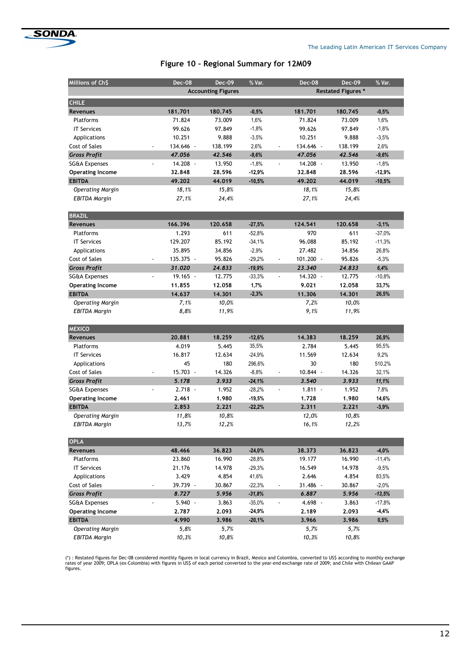

# Figure 10 – Regional Summary for 12M09

| Millions of Ch\$         | <b>Dec-08</b>                | <b>Dec-09</b>             | % Var.    |                           | <b>Dec-08</b> | <b>Dec-09</b> | % Var.   |
|--------------------------|------------------------------|---------------------------|-----------|---------------------------|---------------|---------------|----------|
|                          |                              | <b>Accounting Figures</b> |           | <b>Restated Figures *</b> |               |               |          |
| <b>CHILE</b>             |                              |                           |           |                           |               |               |          |
| <b>Revenues</b>          | 181.701                      | 180.745                   | $-0,5%$   |                           | 181.701       | 180.745       | $-0,5%$  |
| Platforms                | 71.824                       | 73.009                    | 1,6%      |                           | 71.824        | 73.009        | 1,6%     |
| <b>IT Services</b>       | 99.626                       | 97.849                    | $-1,8%$   |                           | 99.626        | 97.849        | $-1,8%$  |
| Applications             | 10.251                       | 9.888                     | $-3,5%$   |                           | 10.251        | 9.888         | $-3,5%$  |
| Cost of Sales            | 134.646 -                    | 138.199                   | 2,6%      |                           | 134.646 -     | 138.199       | 2,6%     |
| <b>Gross Profit</b>      | 47.056                       | 42.546                    | $-9,6%$   |                           | 47.056        | 42.546        | $-9,6%$  |
| <b>SG&amp;A Expenses</b> | 14.208 -                     | 13.950                    | $-1,8%$   |                           | 14.208 -      | 13.950        | $-1,8%$  |
| <b>Operating Income</b>  | 32.848                       | 28.596                    | $-12,9%$  |                           | 32,848        | 28,596        | $-12,9%$ |
| <b>EBITDA</b>            | 49.202                       | 44.019                    | $-10,5%$  |                           | 49.202        | 44.019        | $-10,5%$ |
| <b>Operating Margin</b>  | 18,1%                        | 15,8%                     |           |                           | 18,1%         | 15,8%         |          |
| EBITDA Margin            | 27,1%                        | 24,4%                     |           |                           | 27,1%         | 24,4%         |          |
| <b>BRAZIL</b>            |                              |                           |           |                           |               |               |          |
| <b>Revenues</b>          | 166.396                      | 120.658                   | $-27,5%$  |                           | 124.541       | 120,658       | $-3,1%$  |
| Platforms                | 1.293                        | 611                       | $-52,8%$  |                           | 970           | 611           | $-37,0%$ |
| <b>IT Services</b>       | 129.207                      | 85.192                    | $-34,1%$  |                           | 96.088        | 85.192        | $-11,3%$ |
| Applications             | 35.895                       | 34.856                    | $-2,9%$   |                           | 27.482        | 34.856        | 26,8%    |
| Cost of Sales            | 135.375 -                    | 95.826                    | $-29,2%$  |                           | $101.200 -$   | 95.826        | $-5,3%$  |
| <b>Gross Profit</b>      | 31.020                       | 24.833                    | $-19,9%$  |                           | 23.340        | 24.833        | 6,4%     |
| <b>SG&amp;A Expenses</b> | $19.165 -$<br>$\overline{a}$ | 12.775                    | $-33,3%$  | $\overline{a}$            | $14.320 -$    | 12.775        | $-10,8%$ |
| <b>Operating Income</b>  | 11,855                       | 12.058                    | 1,7%      |                           | 9.021         | 12,058        | 33,7%    |
| <b>EBITDA</b>            | 14.637                       | 14.301                    | $-2,3%$   |                           | 11.306        | 14.301        | 26,5%    |
| <b>Operating Margin</b>  | 7,1%                         | 10,0%                     |           |                           | 7,2%          | 10,0%         |          |
| <b>EBITDA Margin</b>     | 8,8%                         | 11,9%                     |           |                           | 9,1%          | 11,9%         |          |
| <b>MEXICO</b>            |                              |                           |           |                           |               |               |          |
| <b>Revenues</b>          | 20.881                       | 18.259                    | $-12,6%$  |                           | 14.383        | 18.259        | 26,9%    |
| Platforms                | 4.019                        | 5.445                     | 35,5%     |                           | 2.784         | 5.445         | 95,5%    |
| <b>IT Services</b>       | 16.817                       | 12.634                    | $-24,9%$  |                           | 11.569        | 12.634        | 9,2%     |
| Applications             | 45                           | 180                       | 296,6%    |                           | 30            | 180           | 510,2%   |
| Cost of Sales            | 15.703 -                     | 14.326                    | $-8,8%$   |                           | 10.844 -      | 14.326        | 32,1%    |
| <b>Gross Profit</b>      | 5.178                        | 3.933                     | $-24,1%$  |                           | 3.540         | 3.933         | 11,1%    |
| SG&A Expenses            | $2.718 -$                    | 1.952                     | $-28,2%$  |                           | $1.811 -$     | 1.952         | 7,8%     |
| <b>Operating Income</b>  | 2.461                        | 1.980                     | $-19,5%$  |                           | 1.728         | 1.980         | 14,6%    |
| <b>EBITDA</b>            | 2.853                        | 2.221                     | $-22,2%$  |                           | 2.311         | 2.221         | $-3,9%$  |
| <b>Operating Margin</b>  | 11,8%                        | 10,8%                     |           |                           | 12,0%         | 10,8%         |          |
| <b>EBITDA Margin</b>     | 13,7%                        | 12,2%                     |           |                           | 16,1%         | 12,2%         |          |
| <b>OPLA</b>              |                              |                           |           |                           |               |               |          |
| Revenues                 | 48.466                       | 36.823                    | $-24,0%$  |                           | 38,373        | 36.823        | $-4,0%$  |
| Platforms                | 23.860                       | 16.990                    | $-28,8%$  |                           | 19.177        | 16.990        | $-11,4%$ |
| <b>IT Services</b>       | 21.176                       | 14.978                    | $-29,3%$  |                           | 16.549        | 14.978        | $-9,5%$  |
| Applications             | 3.429                        | 4.854                     | 41,6%     |                           | 2.646         | 4.854         | 83,5%    |
| Cost of Sales            | 39.739 -                     | 30.867                    | $-22,3%$  |                           | 31.486 -      | 30.867        | $-2,0\%$ |
| <b>Gross Profit</b>      | 8.727                        | 5.956                     | $-31,8%$  |                           | 6.887         | 5.956         | $-13,5%$ |
| SG&A Expenses            | $5.940 -$                    | 3.863                     | $-35,0\%$ |                           | 4.698 -       | 3.863         | -17,8%   |
| <b>Operating Income</b>  | 2.787                        | 2.093                     | $-24.9%$  |                           | 2.189         | 2.093         | -4,4%    |
| <b>EBITDA</b>            | 4.990                        | 3.986                     | $-20,1%$  |                           | 3.966         | 3.986         | 0,5%     |
| Operating Margin         | 5,8%                         | 5,7%                      |           |                           | 5,7%          | 5,7%          |          |

(\*) : Restated figures for Dec-08 considered monthly figures in local currency in Brazil, Mexico and Colombia, converted to USS according to monthly exchange<br>rates of year 2009; OPLA (ex-Colombia) with figures in USS of ea

EBITDA Margin 10,3% 10,8% 10,3% 10,8%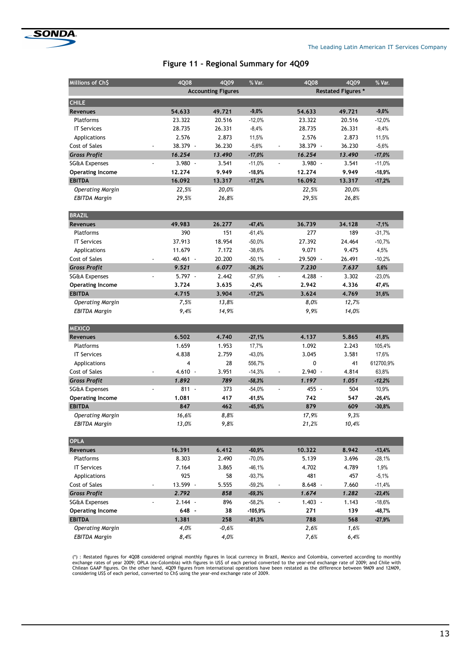

# Figure 11 – Regional Summary for 4Q09

| Millions of Ch\$                         | 4Q08                        | 4Q09                      | % Var.               | 4Q08                                  | 4Q09           | % Var.            |  |
|------------------------------------------|-----------------------------|---------------------------|----------------------|---------------------------------------|----------------|-------------------|--|
|                                          |                             | <b>Accounting Figures</b> |                      | <b>Restated Figures *</b>             |                |                   |  |
| <b>CHILE</b>                             |                             |                           |                      |                                       |                |                   |  |
| <b>Revenues</b>                          | 54.633                      | 49.721                    | $-9,0%$              | 54.633                                | 49,721         | $-9,0%$           |  |
| Platforms                                | 23.322                      | 20.516                    | $-12,0%$             | 23.322                                | 20.516         | $-12,0%$          |  |
| <b>IT Services</b>                       | 28.735                      | 26.331                    | $-8,4%$              | 28.735                                | 26.331         | $-8,4%$           |  |
| Applications                             | 2.576                       | 2.873                     | 11,5%                | 2.576                                 | 2.873          | 11,5%             |  |
| Cost of Sales                            | 38.379 -                    | 36.230                    | $-5,6%$              | 38.379 -<br>$\frac{1}{2}$             | 36.230         | $-5,6%$           |  |
| <b>Gross Profit</b>                      | 16.254                      | 13.490                    | $-17,0%$             | 16.254                                | 13.490         | $-17,0%$          |  |
| <b>SG&amp;A Expenses</b>                 | $3.980 -$                   | 3.541                     | $-11,0%$             | $3.980 -$                             | 3.541          | $-11,0%$          |  |
| <b>Operating Income</b>                  | 12,274                      | 9.949                     | $-18,9%$             | 12,274                                | 9.949          | $-18,9%$          |  |
| <b>EBITDA</b>                            | 16.092                      | 13.317                    | $-17,2%$             | 16.092                                | 13.317         | $-17,2%$          |  |
| <b>Operating Margin</b>                  | 22,5%                       | 20,0%                     |                      | 22,5%                                 | 20,0%          |                   |  |
| <b>EBITDA Margin</b>                     | 29,5%                       | 26,8%                     |                      | 29,5%                                 | 26,8%          |                   |  |
|                                          |                             |                           |                      |                                       |                |                   |  |
| <b>BRAZIL</b>                            |                             |                           |                      |                                       |                |                   |  |
| Revenues                                 | 49.983                      | 26,277                    | $-47,4%$             | 36,739                                | 34.128         | $-7,1%$           |  |
| <b>Platforms</b>                         | 390                         | 151                       | $-61,4%$             | 277                                   | 189            | $-31,7%$          |  |
| <b>IT Services</b>                       | 37.913                      | 18.954                    | $-50,0%$             | 27.392                                | 24.464         | $-10,7%$          |  |
| Applications                             | 11.679                      | 7.172                     | $-38,6%$             | 9.071                                 | 9.475          | 4,5%              |  |
| Cost of Sales                            | 40.461 -                    | 20.200                    | $-50,1%$             | 29.509 -                              | 26.491         | $-10,2%$          |  |
| <b>Gross Profit</b>                      | 9.521                       | 6.077                     | $-36,2%$             | 7.230                                 | 7.637          | 5,6%              |  |
| <b>SG&amp;A Expenses</b>                 | $5.797 -$<br>$\overline{a}$ | 2.442                     | $-57,9%$             | $4.288 -$                             | 3.302          | $-23,0%$          |  |
| <b>Operating Income</b>                  | 3.724                       | 3.635                     | $-2,4%$              | 2.942                                 | 4.336          | 47,4%             |  |
| <b>EBITDA</b>                            | 4.715                       | 3.904                     | $-17,2%$             | 3.624                                 | 4.769          | 31,6%             |  |
| <b>Operating Margin</b>                  | 7,5%                        | 13,8%                     |                      | 8,0%                                  | 12,7%          |                   |  |
| EBITDA Margin                            | 9,4%                        | 14,9%                     |                      | 9,9%                                  | 14,0%          |                   |  |
|                                          |                             |                           |                      |                                       |                |                   |  |
| <b>MEXICO</b>                            |                             |                           |                      |                                       |                |                   |  |
| <b>Revenues</b>                          | 6.502                       | 4.740                     | $-27,1%$             | 4.137                                 | 5.865          | 41,8%             |  |
| Platforms                                | 1.659                       | 1.953                     | 17,7%                | 1.092                                 | 2.243          | 105,4%            |  |
| <b>IT Services</b>                       | 4.838                       | 2.759                     | $-43,0%$             | 3.045                                 | 3.581          | 17,6%             |  |
| Applications                             | 4                           | 28                        | 556,7%               | 0                                     | 41             | 612700,9%         |  |
| Cost of Sales                            | $4.610 -$<br>1.892          | 3.951<br>789              | $-14,3%$             | $2.940 -$                             | 4.814<br>1.051 | 63,8%             |  |
| <b>Gross Profit</b>                      | $811 -$                     |                           | $-58,3%$             | 1.197<br>$\blacksquare$               |                | $-12,2%$          |  |
| SG&A Expenses<br><b>Operating Income</b> | 1.081                       | 373<br>417                | $-54,0%$<br>$-61,5%$ | 455 -<br>742                          | 504<br>547     | 10,9%<br>$-26,4%$ |  |
| <b>EBITDA</b>                            | 847                         | 462                       | $-45,5%$             | 879                                   | 609            | $-30,8%$          |  |
| <b>Operating Margin</b>                  | 16,6%                       | 8,8%                      |                      | 17,9%                                 | 9,3%           |                   |  |
| <b>EBITDA Margin</b>                     | 13,0%                       | 9,8%                      |                      | 21,2%                                 | 10,4%          |                   |  |
|                                          |                             |                           |                      |                                       |                |                   |  |
| <b>OPLA</b>                              |                             |                           |                      |                                       |                |                   |  |
| Revenues                                 | 16.391                      | 6.412                     | $-60,9%$             | 10.322                                | 8.942          | $-13,4%$          |  |
| Platforms                                | 8.303                       | 2.490                     | $-70,0\%$            | 5.139                                 | 3.696          | $-28,1%$          |  |
| <b>IT Services</b>                       | 7.164                       | 3.865                     | $-46,1%$             | 4.702                                 | 4.789          | 1,9%              |  |
| Applications                             | 925                         | 58                        | $-93,7%$             | 481                                   | 457            | $-5,1%$           |  |
| Cost of Sales                            | 13.599 -                    | 5.555                     | $-59,2%$             | $8.648 -$<br>$\overline{\phantom{a}}$ | 7.660          | $-11,4%$          |  |
| <b>Gross Profit</b>                      | 2.792                       | 858                       | $-69,3%$             | 1.674                                 | 1.282          | $-23,4%$          |  |
| SG&A Expenses                            | $2.144 -$                   | 896                       | -58,2%               | $1.403 -$                             | 1.143          | $-18,6\%$         |  |
| <b>Operating Income</b>                  | 648 -                       | 38                        | -105,9%              | 271                                   | 139            | -48,7%            |  |
| <b>EBITDA</b>                            | 1.381                       | 258                       | $-81,3%$             | 788                                   | 568            | $-27,9%$          |  |
| <b>Operating Margin</b>                  | 4,0%                        | -0,6%                     |                      | 2,6%                                  | 1,6%           |                   |  |
| <b>EBITDA Margin</b>                     | 8,4%                        | 4,0%                      |                      | 7,6%                                  | 6,4%           |                   |  |

(\*) : Restated figures for 4008 considered original monthly figures in local currency in Brazil, Mexico and Colombia, converted according to monthly<br>exchange rates of year 2009; OPLA (ex-Colombia) with figures in US\$ of ea